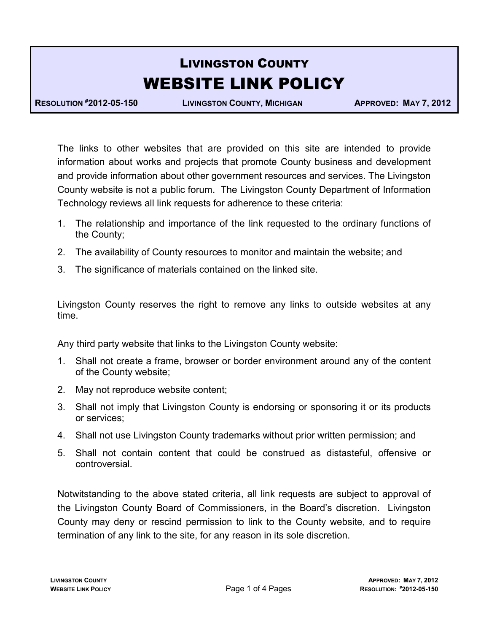# LIVINGSTON COUNTY WEBSITE LINK POLICY

RESOLUTION #2012-05-150 LIVINGSTON COUNTY, MICHIGAN APPROVED: MAY 7, 2012

The links to other websites that are provided on this site are intended to provide information about works and projects that promote County business and development and provide information about other government resources and services. The Livingston County website is not a public forum. The Livingston County Department of Information Technology reviews all link requests for adherence to these criteria:

- 1. The relationship and importance of the link requested to the ordinary functions of the County;
- 2. The availability of County resources to monitor and maintain the website; and
- 3. The significance of materials contained on the linked site.

Livingston County reserves the right to remove any links to outside websites at any time.

Any third party website that links to the Livingston County website:

- 1. Shall not create a frame, browser or border environment around any of the content of the County website;
- 2. May not reproduce website content;
- 3. Shall not imply that Livingston County is endorsing or sponsoring it or its products or services;
- 4. Shall not use Livingston County trademarks without prior written permission; and
- 5. Shall not contain content that could be construed as distasteful, offensive or controversial.

Notwitstanding to the above stated criteria, all link requests are subject to approval of the Livingston County Board of Commissioners, in the Board's discretion. Livingston County may deny or rescind permission to link to the County website, and to require termination of any link to the site, for any reason in its sole discretion.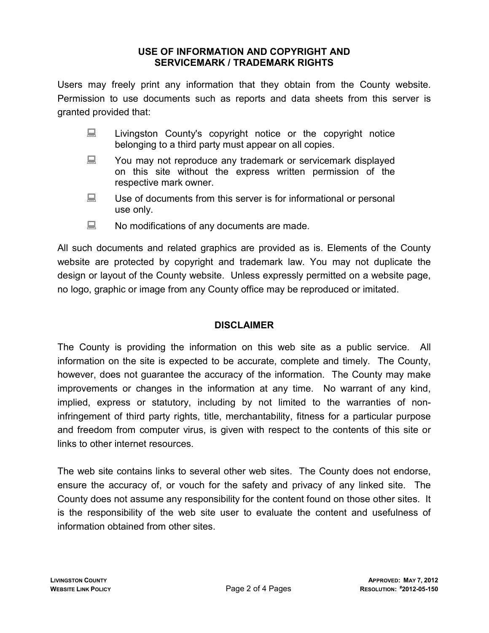### USE OF INFORMATION AND COPYRIGHT AND SERVICEMARK / TRADEMARK RIGHTS

Users may freely print any information that they obtain from the County website. Permission to use documents such as reports and data sheets from this server is granted provided that:

- Livingston County's copyright notice or the copyright notice belonging to a third party must appear on all copies.
- **EXECUTE:** You may not reproduce any trademark or servicemark displayed on this site without the express written permission of the respective mark owner.
- $\Box$  Use of documents from this server is for informational or personal use only.
- No modifications of any documents are made.

All such documents and related graphics are provided as is. Elements of the County website are protected by copyright and trademark law. You may not duplicate the design or layout of the County website. Unless expressly permitted on a website page, no logo, graphic or image from any County office may be reproduced or imitated.

## DISCLAIMER

The County is providing the information on this web site as a public service. All information on the site is expected to be accurate, complete and timely. The County, however, does not guarantee the accuracy of the information. The County may make improvements or changes in the information at any time. No warrant of any kind, implied, express or statutory, including by not limited to the warranties of noninfringement of third party rights, title, merchantability, fitness for a particular purpose and freedom from computer virus, is given with respect to the contents of this site or links to other internet resources.

The web site contains links to several other web sites. The County does not endorse, ensure the accuracy of, or vouch for the safety and privacy of any linked site. The County does not assume any responsibility for the content found on those other sites. It is the responsibility of the web site user to evaluate the content and usefulness of information obtained from other sites.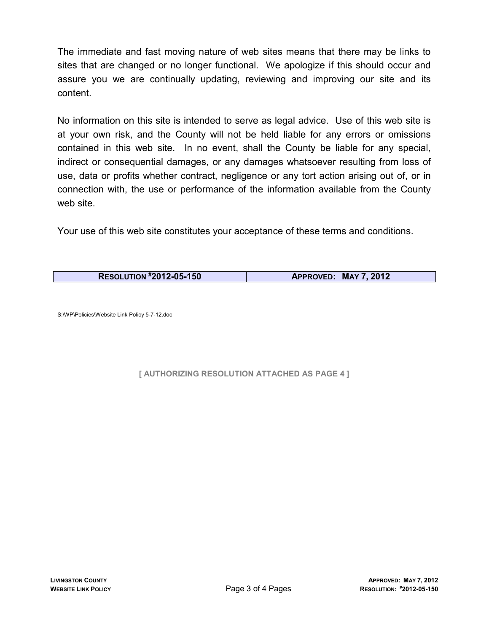The immediate and fast moving nature of web sites means that there may be links to sites that are changed or no longer functional. We apologize if this should occur and assure you we are continually updating, reviewing and improving our site and its content.

No information on this site is intended to serve as legal advice. Use of this web site is at your own risk, and the County will not be held liable for any errors or omissions contained in this web site. In no event, shall the County be liable for any special, indirect or consequential damages, or any damages whatsoever resulting from loss of use, data or profits whether contract, negligence or any tort action arising out of, or in connection with, the use or performance of the information available from the County web site.

Your use of this web site constitutes your acceptance of these terms and conditions.

| <b>RESOLUTION #2012-05-150</b> | APPROVED: MAY 7, 2012 |
|--------------------------------|-----------------------|

S:\WP\Policies\Website Link Policy 5-7-12.doc

#### [ AUTHORIZING RESOLUTION ATTACHED AS PAGE 4 ]